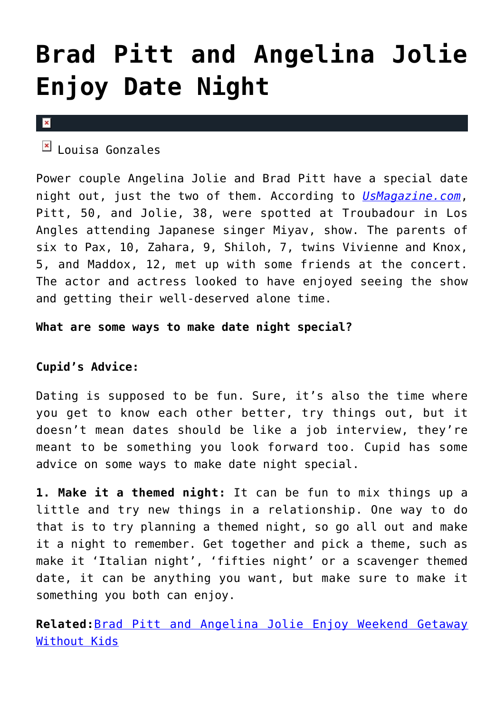## **[Brad Pitt and Angelina Jolie](https://cupidspulse.com/74185/brad-pitt-angelina-jolie-date-night/) [Enjoy Date Night](https://cupidspulse.com/74185/brad-pitt-angelina-jolie-date-night/)**

## $\vert \mathbf{x} \vert$

 $\mathbb{E}$  Louisa Gonzales

Power couple Angelina Jolie and Brad Pitt have a special date night out, just the two of them. According to *[UsMagazine.com](http://www.usmagazine.com/celebrity-news/news/brad-pitt-angelina-jolie-enjoy-date-night-out-2014294)*, Pitt, 50, and Jolie, 38, were spotted at Troubadour in Los Angles attending Japanese singer Miyav, show. The parents of six to Pax, 10, Zahara, 9, Shiloh, 7, twins Vivienne and Knox, 5, and Maddox, 12, met up with some friends at the concert. The actor and actress looked to have enjoyed seeing the show and getting their well-deserved alone time.

**What are some ways to make date night special?**

## **Cupid's Advice:**

Dating is supposed to be fun. Sure, it's also the time where you get to know each other better, try things out, but it doesn't mean dates should be like a job interview, they're meant to be something you look forward too. Cupid has some advice on some ways to make date night special.

**1. Make it a themed night:** It can be fun to mix things up a little and try new things in a relationship. One way to do that is to try planning a themed night, so go all out and make it a night to remember. Get together and pick a theme, such as make it 'Italian night', 'fifties night' or a scavenger themed date, it can be anything you want, but make sure to make it something you both can enjoy.

**Related:**[Brad Pitt and Angelina Jolie Enjoy Weekend Getaway](http://cupidspulse.com/brad-pitt-angelina-jolie-getaway-without-kids/) [Without Kids](http://cupidspulse.com/brad-pitt-angelina-jolie-getaway-without-kids/)